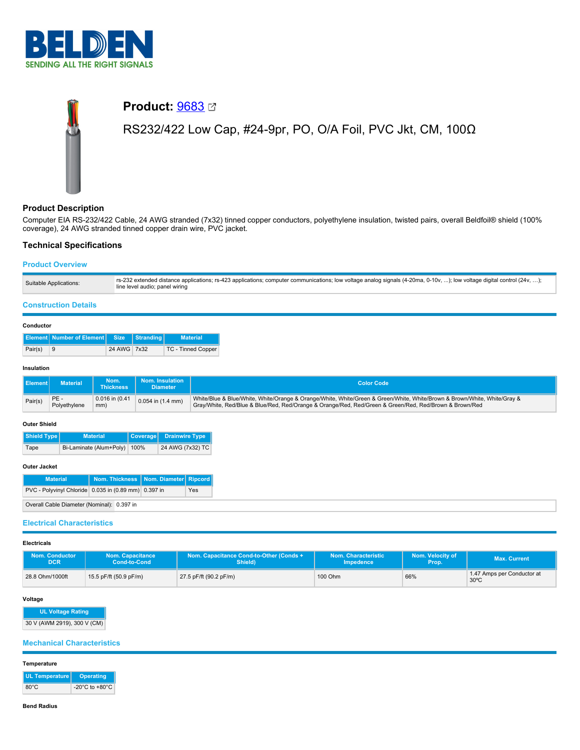

# **Product:** [9683](https://catalog.belden.com/index.cfm?event=pd&p=PF_9683&tab=downloads) RS232/422 Low Cap, #24-9pr, PO, O/A Foil, PVC Jkt, CM, 100Ω

# **Product Description**

Computer EIA RS-232/422 Cable, 24 AWG stranded (7x32) tinned copper conductors, polyethylene insulation, twisted pairs, overall Beldfoil® shield (100% coverage), 24 AWG stranded tinned copper drain wire, PVC jacket.

# **Technical Specifications**

# **Product Overview**

| Suitable Applications: | rs-232 extended distance applications; rs-423 applications; computer communications; low voltage analog signals (4-20ma, 0-10v, ); low voltage digital control (24v, );<br>line level audio; panel wiring |
|------------------------|-----------------------------------------------------------------------------------------------------------------------------------------------------------------------------------------------------------|
|------------------------|-----------------------------------------------------------------------------------------------------------------------------------------------------------------------------------------------------------|

# **Construction Details**

|         | <b>Element Number of Element Size Stranding</b> |             |  | <b>Material</b>    |  |  |
|---------|-------------------------------------------------|-------------|--|--------------------|--|--|
| Pair(s) | ∣9                                              | 24 AWG 7x32 |  | TC - Tinned Copper |  |  |

## **Insulation**

| Element | Material           | Nom.<br><b>Thickness</b> | <b>Nom. Insulation</b><br><b>Diameter</b> | <b>Color Code</b>                                                                                                                                                                                                                  |
|---------|--------------------|--------------------------|-------------------------------------------|------------------------------------------------------------------------------------------------------------------------------------------------------------------------------------------------------------------------------------|
| Pair(s) | PE<br>Polyethylene | 0.016 in (0.41<br>mm)    | $0.054$ in $(1.4$ mm)                     | White/Blue & Blue/White, White/Orange & Orange/White, White/Green & Green/White, White/Brown & Brown/White, White/Gray &<br>Gray/White, Red/Blue & Blue/Red, Red/Orange & Orange/Red, Red/Green & Green/Red, Red/Brown & Brown/Red |

#### **Outer Shield**

| Shield Type |      | <b>Material</b>              | Coverage Drainwire Type |
|-------------|------|------------------------------|-------------------------|
|             | Tape | Bi-Laminate (Alum+Poly) 100% | 24 AWG (7x32) TC        |

#### **Outer Jacket**

| <b>Material</b>                                      | Nom. Thickness   Nom. Diameter   Ripcord |     |
|------------------------------------------------------|------------------------------------------|-----|
| PVC - Polyvinyl Chloride 0.035 in (0.89 mm) 0.397 in |                                          | Yes |
| Overall Cable Diameter (Nominal): 0.397 in           |                                          |     |

# **Electrical Characteristics**

**Electricals**

| <b>Nom. Conductor</b> | Nom. Capacitance       | Nom. Capacitance Cond-to-Other (Conds + | Nom. Characteristic | Nom. Velocity of | Max. Current                                 |
|-----------------------|------------------------|-----------------------------------------|---------------------|------------------|----------------------------------------------|
| <b>DCR</b>            | Cond-to-Cond           | Shield)                                 | Impedence           | Prop.            |                                              |
| 28.8 Ohm/1000ft       | 15.5 pF/ft (50.9 pF/m) | 27.5 pF/ft (90.2 pF/m)                  | 100 Ohm             | 66%              | 1.47 Amps per Conductor at<br>$30^{\circ}$ C |

## **Voltage**

**UL Voltage Rating** 30 V (AWM 2919), 300 V (CM)

## **Mechanical Characteristics**

#### **Temperature**

| <b>UL Temperature</b> | Operating                            |  |  |
|-----------------------|--------------------------------------|--|--|
| $80^{\circ}$ C        | -20 $^{\circ}$ C to +80 $^{\circ}$ C |  |  |

**Bend Radius**